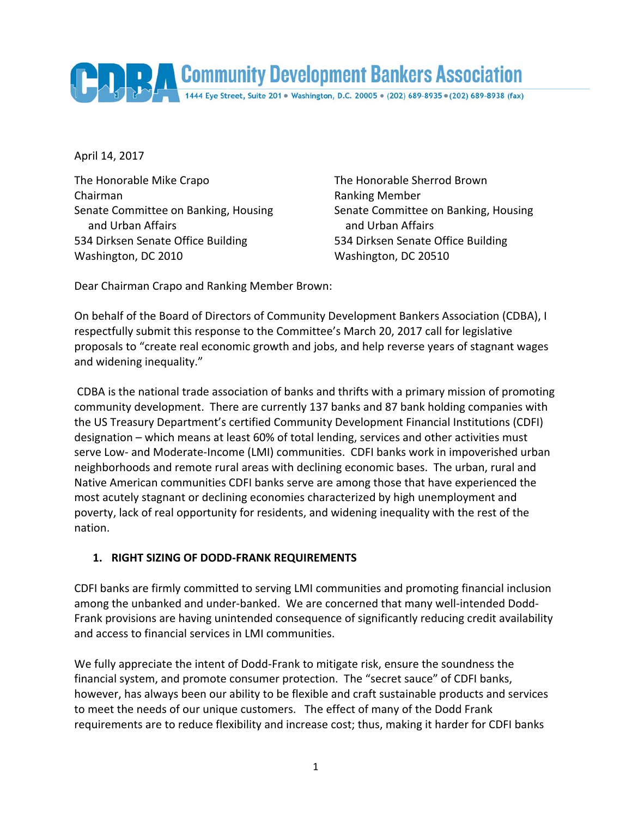Community Development Bankers Association 1444 Eye Street, Suite 201 · Washington, D.C. 20005 · (202) 689-8935 · (202) 689-8938 (fax)

April 14, 2017

The Honorable Mike Crapo The Honorable Sherrod Brown Chairman Ranking Member Senate Committee on Banking, Housing Senate Committee on Banking, Housing and Urban Affairs and Urban Affairs 534 Dirksen Senate Office Building 534 Dirksen Senate Office Building Washington, DC 2010 Washington, DC 20510

Dear Chairman Crapo and Ranking Member Brown:

On behalf of the Board of Directors of Community Development Bankers Association (CDBA), I respectfully submit this response to the Committee's March 20, 2017 call for legislative proposals to "create real economic growth and jobs, and help reverse years of stagnant wages and widening inequality."

CDBA is the national trade association of banks and thrifts with a primary mission of promoting community development. There are currently 137 banks and 87 bank holding companies with the US Treasury Department's certified Community Development Financial Institutions (CDFI) designation – which means at least 60% of total lending, services and other activities must serve Low‐ and Moderate‐Income (LMI) communities. CDFI banks work in impoverished urban neighborhoods and remote rural areas with declining economic bases. The urban, rural and Native American communities CDFI banks serve are among those that have experienced the most acutely stagnant or declining economies characterized by high unemployment and poverty, lack of real opportunity for residents, and widening inequality with the rest of the nation.

## **1. RIGHT SIZING OF DODD‐FRANK REQUIREMENTS**

CDFI banks are firmly committed to serving LMI communities and promoting financial inclusion among the unbanked and under-banked. We are concerned that many well-intended Dodd-Frank provisions are having unintended consequence of significantly reducing credit availability and access to financial services in LMI communities.

We fully appreciate the intent of Dodd-Frank to mitigate risk, ensure the soundness the financial system, and promote consumer protection. The "secret sauce" of CDFI banks, however, has always been our ability to be flexible and craft sustainable products and services to meet the needs of our unique customers. The effect of many of the Dodd Frank requirements are to reduce flexibility and increase cost; thus, making it harder for CDFI banks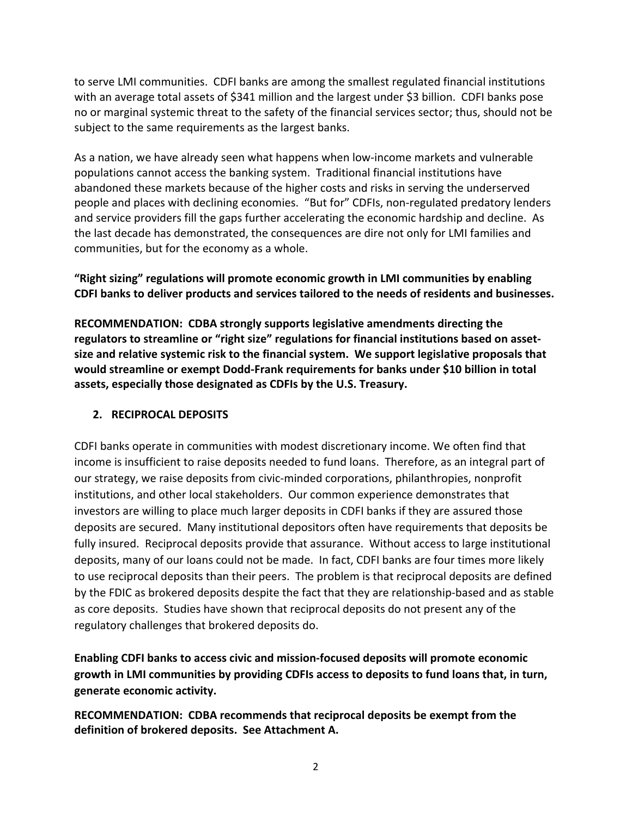to serve LMI communities. CDFI banks are among the smallest regulated financial institutions with an average total assets of \$341 million and the largest under \$3 billion. CDFI banks pose no or marginal systemic threat to the safety of the financial services sector; thus, should not be subject to the same requirements as the largest banks.

As a nation, we have already seen what happens when low‐income markets and vulnerable populations cannot access the banking system. Traditional financial institutions have abandoned these markets because of the higher costs and risks in serving the underserved people and places with declining economies. "But for" CDFIs, non-regulated predatory lenders and service providers fill the gaps further accelerating the economic hardship and decline. As the last decade has demonstrated, the consequences are dire not only for LMI families and communities, but for the economy as a whole.

**"Right sizing" regulations will promote economic growth in LMI communities by enabling CDFI banks to deliver products and services tailored to the needs of residents and businesses.**

**RECOMMENDATION: CDBA strongly supports legislative amendments directing the regulators to streamline or "right size" regulations for financial institutions based on asset‐ size and relative systemic risk to the financial system. We support legislative proposals that would streamline or exempt Dodd‐Frank requirements for banks under \$10 billion in total assets, especially those designated as CDFIs by the U.S. Treasury.** 

### **2. RECIPROCAL DEPOSITS**

CDFI banks operate in communities with modest discretionary income. We often find that income is insufficient to raise deposits needed to fund loans. Therefore, as an integral part of our strategy, we raise deposits from civic‐minded corporations, philanthropies, nonprofit institutions, and other local stakeholders. Our common experience demonstrates that investors are willing to place much larger deposits in CDFI banks if they are assured those deposits are secured. Many institutional depositors often have requirements that deposits be fully insured. Reciprocal deposits provide that assurance. Without access to large institutional deposits, many of our loans could not be made. In fact, CDFI banks are four times more likely to use reciprocal deposits than their peers. The problem is that reciprocal deposits are defined by the FDIC as brokered deposits despite the fact that they are relationship‐based and as stable as core deposits. Studies have shown that reciprocal deposits do not present any of the regulatory challenges that brokered deposits do.

**Enabling CDFI banks to access civic and mission‐focused deposits will promote economic growth in LMI communities by providing CDFIs access to deposits to fund loans that, in turn, generate economic activity.**

**RECOMMENDATION: CDBA recommends that reciprocal deposits be exempt from the definition of brokered deposits. See Attachment A.**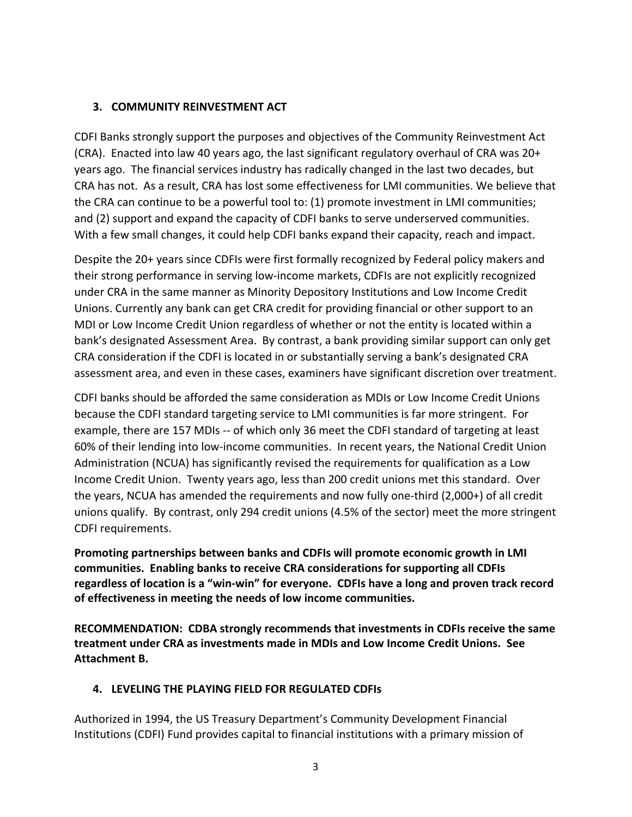#### **3. COMMUNITY REINVESTMENT ACT**

CDFI Banks strongly support the purposes and objectives of the Community Reinvestment Act (CRA). Enacted into law 40 years ago, the last significant regulatory overhaul of CRA was 20+ years ago. The financial services industry has radically changed in the last two decades, but CRA has not. As a result, CRA has lost some effectiveness for LMI communities. We believe that the CRA can continue to be a powerful tool to: (1) promote investment in LMI communities; and (2) support and expand the capacity of CDFI banks to serve underserved communities. With a few small changes, it could help CDFI banks expand their capacity, reach and impact.

Despite the 20+ years since CDFIs were first formally recognized by Federal policy makers and their strong performance in serving low‐income markets, CDFIs are not explicitly recognized under CRA in the same manner as Minority Depository Institutions and Low Income Credit Unions. Currently any bank can get CRA credit for providing financial or other support to an MDI or Low Income Credit Union regardless of whether or not the entity is located within a bank's designated Assessment Area. By contrast, a bank providing similar support can only get CRA consideration if the CDFI is located in or substantially serving a bank's designated CRA assessment area, and even in these cases, examiners have significant discretion over treatment.

CDFI banks should be afforded the same consideration as MDIs or Low Income Credit Unions because the CDFI standard targeting service to LMI communities is far more stringent. For example, there are 157 MDIs ‐‐ of which only 36 meet the CDFI standard of targeting at least 60% of their lending into low‐income communities. In recent years, the National Credit Union Administration (NCUA) has significantly revised the requirements for qualification as a Low Income Credit Union. Twenty years ago, less than 200 credit unions met this standard. Over the years, NCUA has amended the requirements and now fully one‐third (2,000+) of all credit unions qualify. By contrast, only 294 credit unions (4.5% of the sector) meet the more stringent CDFI requirements.

**Promoting partnerships between banks and CDFIs will promote economic growth in LMI communities. Enabling banks to receive CRA considerations for supporting all CDFIs** regardless of location is a "win-win" for everyone. CDFIs have a long and proven track record **of effectiveness in meeting the needs of low income communities.** 

**RECOMMENDATION: CDBA strongly recommends that investments in CDFIs receive the same treatment under CRA as investments made in MDIs and Low Income Credit Unions. See Attachment B.**

### **4. LEVELING THE PLAYING FIELD FOR REGULATED CDFIs**

Authorized in 1994, the US Treasury Department's Community Development Financial Institutions (CDFI) Fund provides capital to financial institutions with a primary mission of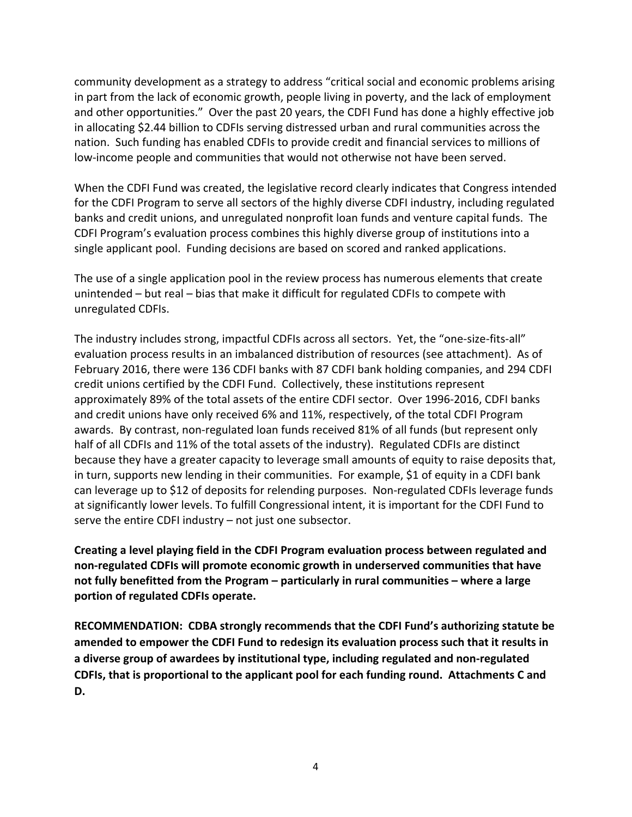community development as a strategy to address "critical social and economic problems arising in part from the lack of economic growth, people living in poverty, and the lack of employment and other opportunities." Over the past 20 years, the CDFI Fund has done a highly effective job in allocating \$2.44 billion to CDFIs serving distressed urban and rural communities across the nation. Such funding has enabled CDFIs to provide credit and financial services to millions of low‐income people and communities that would not otherwise not have been served.

When the CDFI Fund was created, the legislative record clearly indicates that Congress intended for the CDFI Program to serve all sectors of the highly diverse CDFI industry, including regulated banks and credit unions, and unregulated nonprofit loan funds and venture capital funds. The CDFI Program's evaluation process combines this highly diverse group of institutions into a single applicant pool. Funding decisions are based on scored and ranked applications.

The use of a single application pool in the review process has numerous elements that create unintended – but real – bias that make it difficult for regulated CDFIs to compete with unregulated CDFIs.

The industry includes strong, impactful CDFIs across all sectors. Yet, the "one-size-fits-all" evaluation process results in an imbalanced distribution of resources (see attachment). As of February 2016, there were 136 CDFI banks with 87 CDFI bank holding companies, and 294 CDFI credit unions certified by the CDFI Fund. Collectively, these institutions represent approximately 89% of the total assets of the entire CDFI sector. Over 1996‐2016, CDFI banks and credit unions have only received 6% and 11%, respectively, of the total CDFI Program awards. By contrast, non-regulated loan funds received 81% of all funds (but represent only half of all CDFIs and 11% of the total assets of the industry). Regulated CDFIs are distinct because they have a greater capacity to leverage small amounts of equity to raise deposits that, in turn, supports new lending in their communities. For example, \$1 of equity in a CDFI bank can leverage up to \$12 of deposits for relending purposes. Non-regulated CDFIs leverage funds at significantly lower levels. To fulfill Congressional intent, it is important for the CDFI Fund to serve the entire CDFI industry – not just one subsector.

**Creating a level playing field in the CDFI Program evaluation process between regulated and non‐regulated CDFIs will promote economic growth in underserved communities that have not fully benefitted from the Program – particularly in rural communities – where a large portion of regulated CDFIs operate.**

**RECOMMENDATION: CDBA strongly recommends that the CDFI Fund's authorizing statute be amended to empower the CDFI Fund to redesign its evaluation process such that it results in a diverse group of awardees by institutional type, including regulated and non‐regulated CDFIs, that is proportional to the applicant pool for each funding round. Attachments C and D.**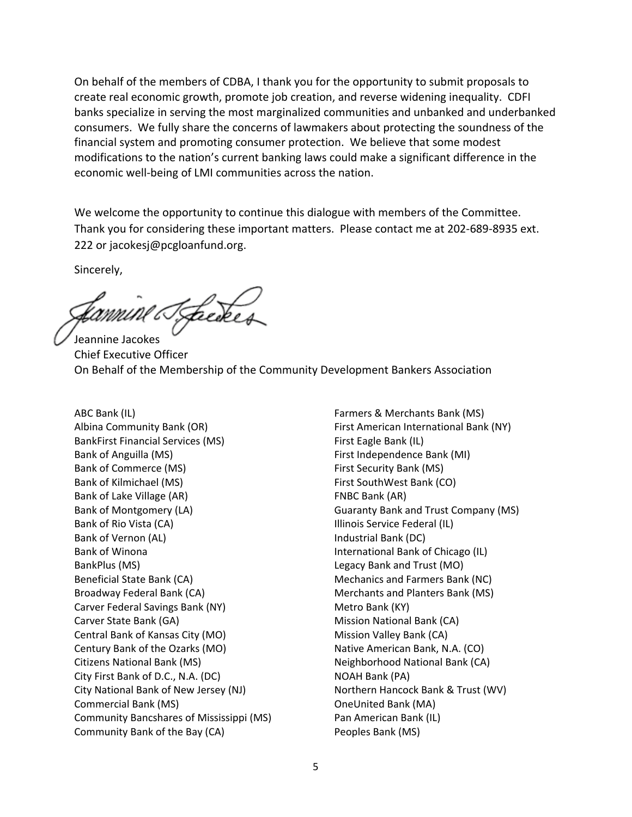On behalf of the members of CDBA, I thank you for the opportunity to submit proposals to create real economic growth, promote job creation, and reverse widening inequality. CDFI banks specialize in serving the most marginalized communities and unbanked and underbanked consumers. We fully share the concerns of lawmakers about protecting the soundness of the financial system and promoting consumer protection. We believe that some modest modifications to the nation's current banking laws could make a significant difference in the economic well‐being of LMI communities across the nation.

We welcome the opportunity to continue this dialogue with members of the Committee. Thank you for considering these important matters. Please contact me at 202‐689‐8935 ext. 222 or jacokesj@pcgloanfund.org.

Sincerely,

Tackes

Jeannine Jacokes Chief Executive Officer On Behalf of the Membership of the Community Development Bankers Association

ABC Bank (IL) Albina Community Bank (OR) BankFirst Financial Services (MS) Bank of Anguilla (MS) Bank of Commerce (MS) Bank of Kilmichael (MS) Bank of Lake Village (AR) Bank of Montgomery (LA) Bank of Rio Vista (CA) Bank of Vernon (AL) Bank of Winona BankPlus (MS) Beneficial State Bank (CA) Broadway Federal Bank (CA) Carver Federal Savings Bank (NY) Carver State Bank (GA) Central Bank of Kansas City (MO) Century Bank of the Ozarks (MO) Citizens National Bank (MS) City First Bank of D.C., N.A. (DC) City National Bank of New Jersey (NJ) Commercial Bank (MS) Community Bancshares of Mississippi (MS) Community Bank of the Bay (CA)

Farmers & Merchants Bank (MS) First American International Bank (NY) First Eagle Bank (IL) First Independence Bank (MI) First Security Bank (MS) First SouthWest Bank (CO) FNBC Bank (AR) Guaranty Bank and Trust Company (MS) Illinois Service Federal (IL) Industrial Bank (DC) International Bank of Chicago (IL) Legacy Bank and Trust (MO) Mechanics and Farmers Bank (NC) Merchants and Planters Bank (MS) Metro Bank (KY) Mission National Bank (CA) Mission Valley Bank (CA) Native American Bank, N.A. (CO) Neighborhood National Bank (CA) NOAH Bank (PA) Northern Hancock Bank & Trust (WV) OneUnited Bank (MA) Pan American Bank (IL) Peoples Bank (MS)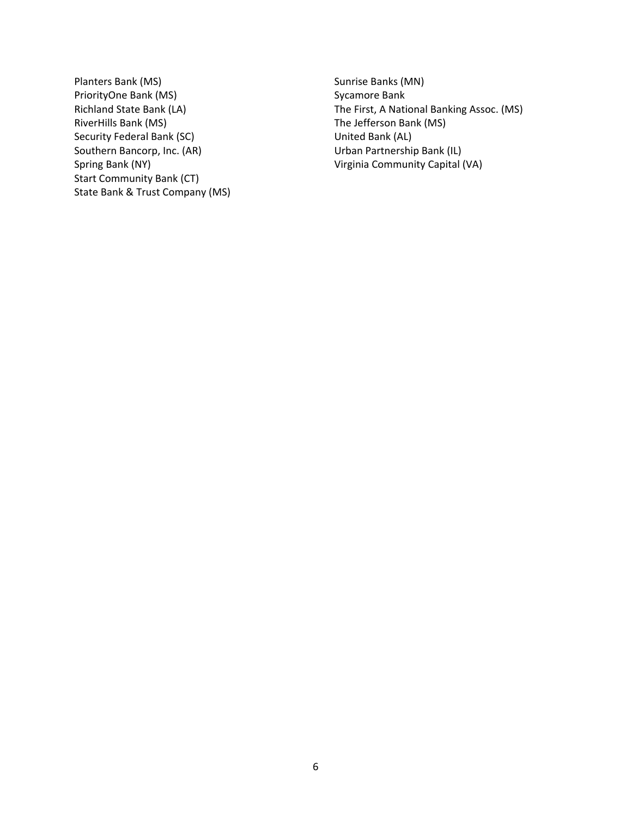Planters Bank (MS) PriorityOne Bank (MS) Richland State Bank (LA) RiverHills Bank (MS) Security Federal Bank (SC) Southern Bancorp, Inc. (AR) Spring Bank (NY) Start Community Bank (CT) State Bank & Trust Company (MS) Sunrise Banks (MN) Sycamore Bank The First, A National Banking Assoc. (MS) The Jefferson Bank (MS) United Bank (AL) Urban Partnership Bank (IL) Virginia Community Capital (VA)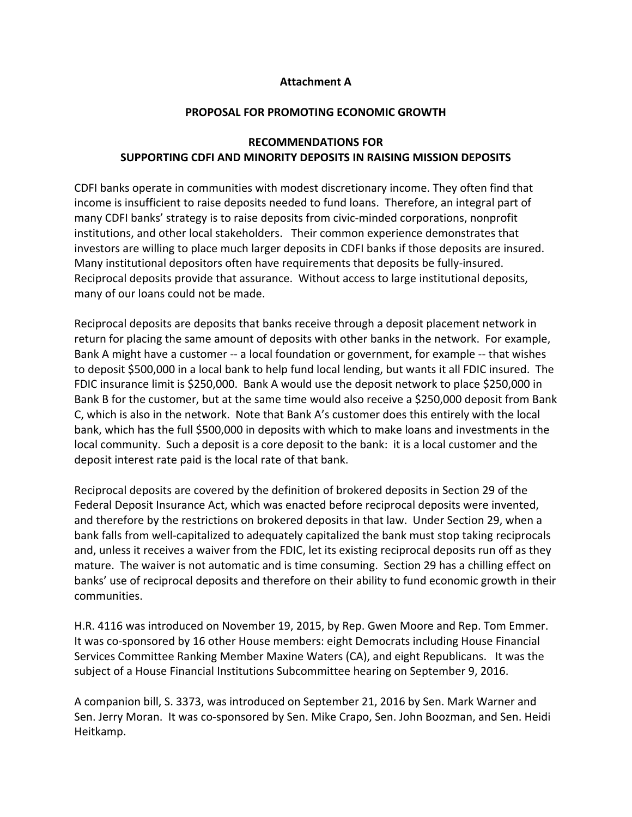#### **Attachment A**

#### **PROPOSAL FOR PROMOTING ECONOMIC GROWTH**

### **RECOMMENDATIONS FOR SUPPORTING CDFI AND MINORITY DEPOSITS IN RAISING MISSION DEPOSITS**

CDFI banks operate in communities with modest discretionary income. They often find that income is insufficient to raise deposits needed to fund loans. Therefore, an integral part of many CDFI banks' strategy is to raise deposits from civic-minded corporations, nonprofit institutions, and other local stakeholders. Their common experience demonstrates that investors are willing to place much larger deposits in CDFI banks if those deposits are insured. Many institutional depositors often have requirements that deposits be fully‐insured. Reciprocal deposits provide that assurance. Without access to large institutional deposits, many of our loans could not be made.

Reciprocal deposits are deposits that banks receive through a deposit placement network in return for placing the same amount of deposits with other banks in the network. For example, Bank A might have a customer -- a local foundation or government, for example -- that wishes to deposit \$500,000 in a local bank to help fund local lending, but wants it all FDIC insured. The FDIC insurance limit is \$250,000. Bank A would use the deposit network to place \$250,000 in Bank B for the customer, but at the same time would also receive a \$250,000 deposit from Bank C, which is also in the network. Note that Bank A's customer does this entirely with the local bank, which has the full \$500,000 in deposits with which to make loans and investments in the local community. Such a deposit is a core deposit to the bank: it is a local customer and the deposit interest rate paid is the local rate of that bank.

Reciprocal deposits are covered by the definition of brokered deposits in Section 29 of the Federal Deposit Insurance Act, which was enacted before reciprocal deposits were invented, and therefore by the restrictions on brokered deposits in that law. Under Section 29, when a bank falls from well‐capitalized to adequately capitalized the bank must stop taking reciprocals and, unless it receives a waiver from the FDIC, let its existing reciprocal deposits run off as they mature. The waiver is not automatic and is time consuming. Section 29 has a chilling effect on banks' use of reciprocal deposits and therefore on their ability to fund economic growth in their communities.

H.R. 4116 was introduced on November 19, 2015, by Rep. Gwen Moore and Rep. Tom Emmer. It was co-sponsored by 16 other House members: eight Democrats including House Financial Services Committee Ranking Member Maxine Waters (CA), and eight Republicans. It was the subject of a House Financial Institutions Subcommittee hearing on September 9, 2016.

A companion bill, S. 3373, was introduced on September 21, 2016 by Sen. Mark Warner and Sen. Jerry Moran. It was co‐sponsored by Sen. Mike Crapo, Sen. John Boozman, and Sen. Heidi Heitkamp.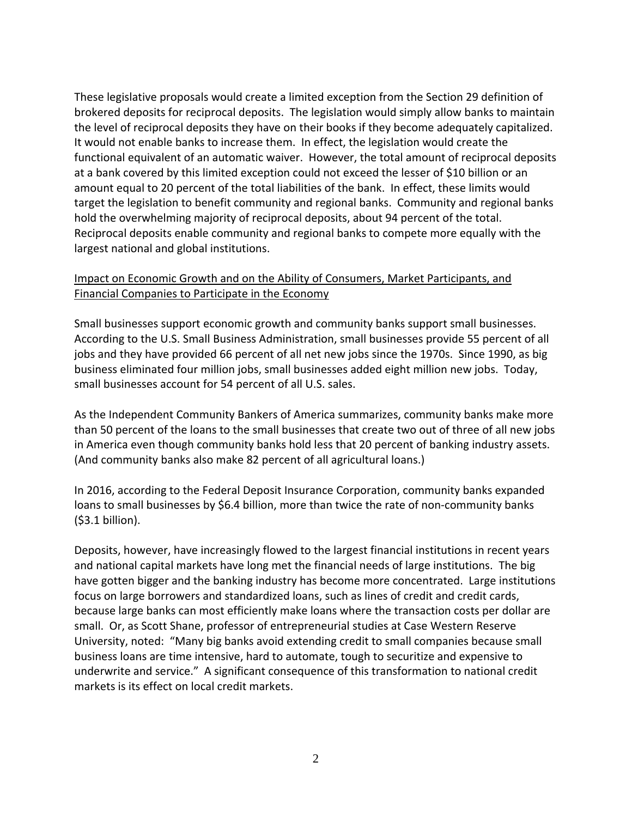These legislative proposals would create a limited exception from the Section 29 definition of brokered deposits for reciprocal deposits. The legislation would simply allow banks to maintain the level of reciprocal deposits they have on their books if they become adequately capitalized. It would not enable banks to increase them. In effect, the legislation would create the functional equivalent of an automatic waiver. However, the total amount of reciprocal deposits at a bank covered by this limited exception could not exceed the lesser of \$10 billion or an amount equal to 20 percent of the total liabilities of the bank. In effect, these limits would target the legislation to benefit community and regional banks. Community and regional banks hold the overwhelming majority of reciprocal deposits, about 94 percent of the total. Reciprocal deposits enable community and regional banks to compete more equally with the largest national and global institutions.

### Impact on Economic Growth and on the Ability of Consumers, Market Participants, and Financial Companies to Participate in the Economy

Small businesses support economic growth and community banks support small businesses. According to the U.S. Small Business Administration, small businesses provide 55 percent of all jobs and they have provided 66 percent of all net new jobs since the 1970s. Since 1990, as big business eliminated four million jobs, small businesses added eight million new jobs. Today, small businesses account for 54 percent of all U.S. sales.

As the Independent Community Bankers of America summarizes, community banks make more than 50 percent of the loans to the small businesses that create two out of three of all new jobs in America even though community banks hold less that 20 percent of banking industry assets. (And community banks also make 82 percent of all agricultural loans.)

In 2016, according to the Federal Deposit Insurance Corporation, community banks expanded loans to small businesses by \$6.4 billion, more than twice the rate of non-community banks (\$3.1 billion).

Deposits, however, have increasingly flowed to the largest financial institutions in recent years and national capital markets have long met the financial needs of large institutions. The big have gotten bigger and the banking industry has become more concentrated. Large institutions focus on large borrowers and standardized loans, such as lines of credit and credit cards, because large banks can most efficiently make loans where the transaction costs per dollar are small. Or, as Scott Shane, professor of entrepreneurial studies at Case Western Reserve University, noted: "Many big banks avoid extending credit to small companies because small business loans are time intensive, hard to automate, tough to securitize and expensive to underwrite and service." A significant consequence of this transformation to national credit markets is its effect on local credit markets.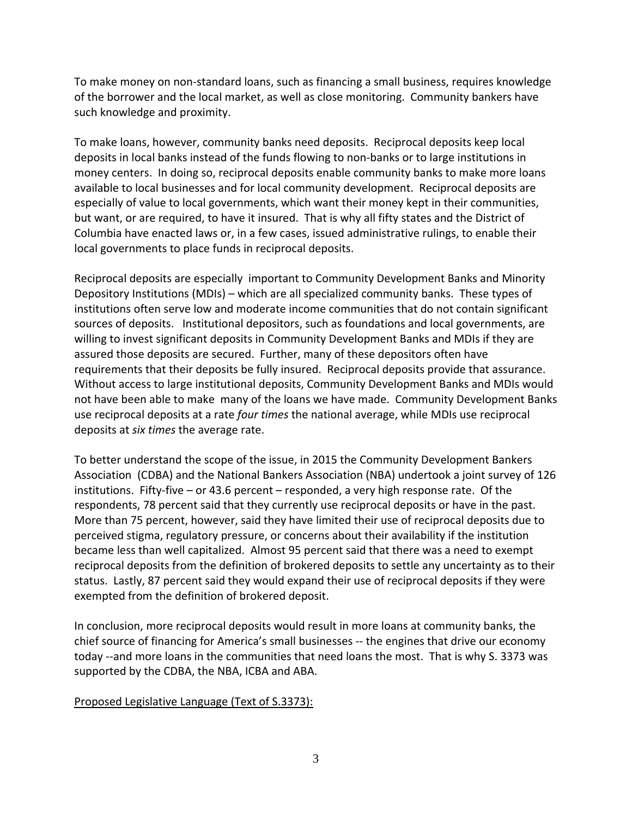To make money on non‐standard loans, such as financing a small business, requires knowledge of the borrower and the local market, as well as close monitoring. Community bankers have such knowledge and proximity.

To make loans, however, community banks need deposits. Reciprocal deposits keep local deposits in local banks instead of the funds flowing to non‐banks or to large institutions in money centers. In doing so, reciprocal deposits enable community banks to make more loans available to local businesses and for local community development. Reciprocal deposits are especially of value to local governments, which want their money kept in their communities, but want, or are required, to have it insured. That is why all fifty states and the District of Columbia have enacted laws or, in a few cases, issued administrative rulings, to enable their local governments to place funds in reciprocal deposits.

Reciprocal deposits are especially important to Community Development Banks and Minority Depository Institutions (MDIs) – which are all specialized community banks. These types of institutions often serve low and moderate income communities that do not contain significant sources of deposits. Institutional depositors, such as foundations and local governments, are willing to invest significant deposits in Community Development Banks and MDIs if they are assured those deposits are secured. Further, many of these depositors often have requirements that their deposits be fully insured. Reciprocal deposits provide that assurance. Without access to large institutional deposits, Community Development Banks and MDIs would not have been able to make many of the loans we have made. Community Development Banks use reciprocal deposits at a rate *four times* the national average, while MDIs use reciprocal deposits at *six times* the average rate.

To better understand the scope of the issue, in 2015 the Community Development Bankers Association (CDBA) and the National Bankers Association (NBA) undertook a joint survey of 126 institutions. Fifty-five – or 43.6 percent – responded, a very high response rate. Of the respondents, 78 percent said that they currently use reciprocal deposits or have in the past. More than 75 percent, however, said they have limited their use of reciprocal deposits due to perceived stigma, regulatory pressure, or concerns about their availability if the institution became less than well capitalized. Almost 95 percent said that there was a need to exempt reciprocal deposits from the definition of brokered deposits to settle any uncertainty as to their status. Lastly, 87 percent said they would expand their use of reciprocal deposits if they were exempted from the definition of brokered deposit.

In conclusion, more reciprocal deposits would result in more loans at community banks, the chief source of financing for America's small businesses ‐‐ the engines that drive our economy today --and more loans in the communities that need loans the most. That is why S. 3373 was supported by the CDBA, the NBA, ICBA and ABA.

### Proposed Legislative Language (Text of S.3373):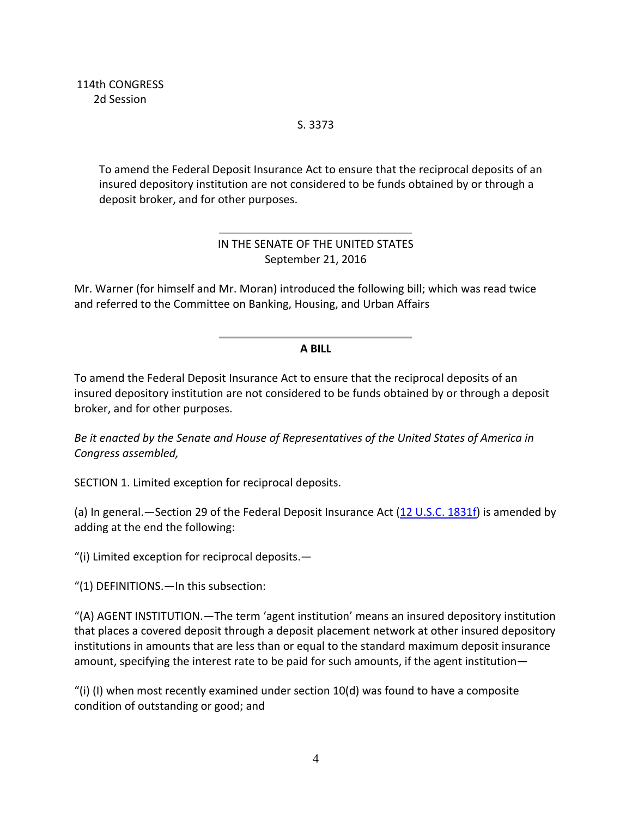S. 3373

To amend the Federal Deposit Insurance Act to ensure that the reciprocal deposits of an insured depository institution are not considered to be funds obtained by or through a deposit broker, and for other purposes.

## IN THE SENATE OF THE UNITED STATES September 21, 2016

Mr. Warner (for himself and Mr. Moran) introduced the following bill; which was read twice and referred to the Committee on Banking, Housing, and Urban Affairs

## **A BILL**

To amend the Federal Deposit Insurance Act to ensure that the reciprocal deposits of an insured depository institution are not considered to be funds obtained by or through a deposit broker, and for other purposes.

*Be it enacted by the Senate and House of Representatives of the United States of America in Congress assembled,*

SECTION 1. Limited exception for reciprocal deposits.

(a) In general.—Section 29 of the Federal Deposit Insurance Act  $(12 \text{ U.S.C. } 1831 \text{ f})$  is amended by adding at the end the following:

"(i) Limited exception for reciprocal deposits.—

"(1) DEFINITIONS.—In this subsection:

"(A) AGENT INSTITUTION.—The term 'agent institution' means an insured depository institution that places a covered deposit through a deposit placement network at other insured depository institutions in amounts that are less than or equal to the standard maximum deposit insurance amount, specifying the interest rate to be paid for such amounts, if the agent institution—

"(i) (I) when most recently examined under section  $10(d)$  was found to have a composite condition of outstanding or good; and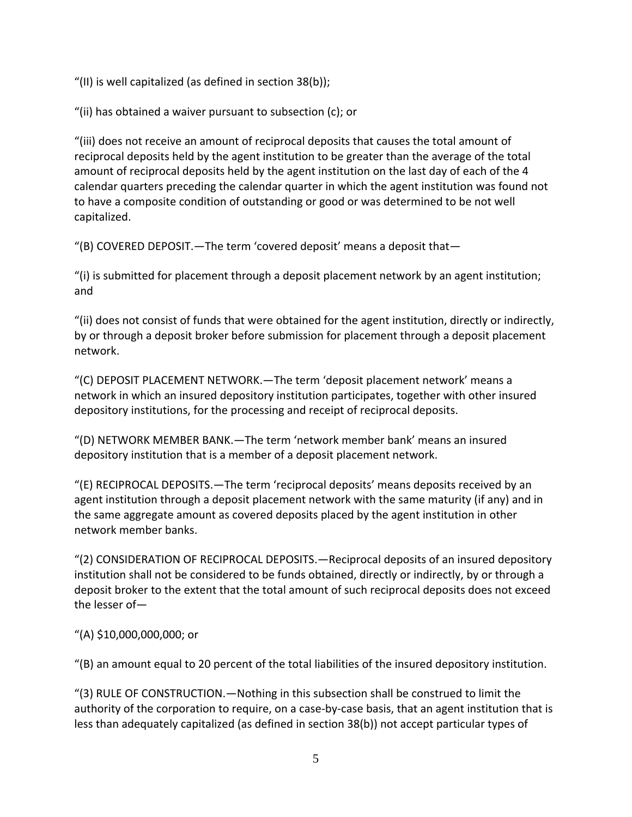"(II) is well capitalized (as defined in section 38(b));

"(ii) has obtained a waiver pursuant to subsection (c); or

"(iii) does not receive an amount of reciprocal deposits that causes the total amount of reciprocal deposits held by the agent institution to be greater than the average of the total amount of reciprocal deposits held by the agent institution on the last day of each of the 4 calendar quarters preceding the calendar quarter in which the agent institution was found not to have a composite condition of outstanding or good or was determined to be not well capitalized.

"(B) COVERED DEPOSIT.—The term 'covered deposit' means a deposit that—

"(i) is submitted for placement through a deposit placement network by an agent institution; and

"(ii) does not consist of funds that were obtained for the agent institution, directly or indirectly, by or through a deposit broker before submission for placement through a deposit placement network.

"(C) DEPOSIT PLACEMENT NETWORK.—The term 'deposit placement network' means a network in which an insured depository institution participates, together with other insured depository institutions, for the processing and receipt of reciprocal deposits.

"(D) NETWORK MEMBER BANK.—The term 'network member bank' means an insured depository institution that is a member of a deposit placement network.

"(E) RECIPROCAL DEPOSITS.—The term 'reciprocal deposits' means deposits received by an agent institution through a deposit placement network with the same maturity (if any) and in the same aggregate amount as covered deposits placed by the agent institution in other network member banks.

"(2) CONSIDERATION OF RECIPROCAL DEPOSITS.—Reciprocal deposits of an insured depository institution shall not be considered to be funds obtained, directly or indirectly, by or through a deposit broker to the extent that the total amount of such reciprocal deposits does not exceed the lesser of—

"(A) \$10,000,000,000; or

"(B) an amount equal to 20 percent of the total liabilities of the insured depository institution.

"(3) RULE OF CONSTRUCTION.—Nothing in this subsection shall be construed to limit the authority of the corporation to require, on a case-by-case basis, that an agent institution that is less than adequately capitalized (as defined in section 38(b)) not accept particular types of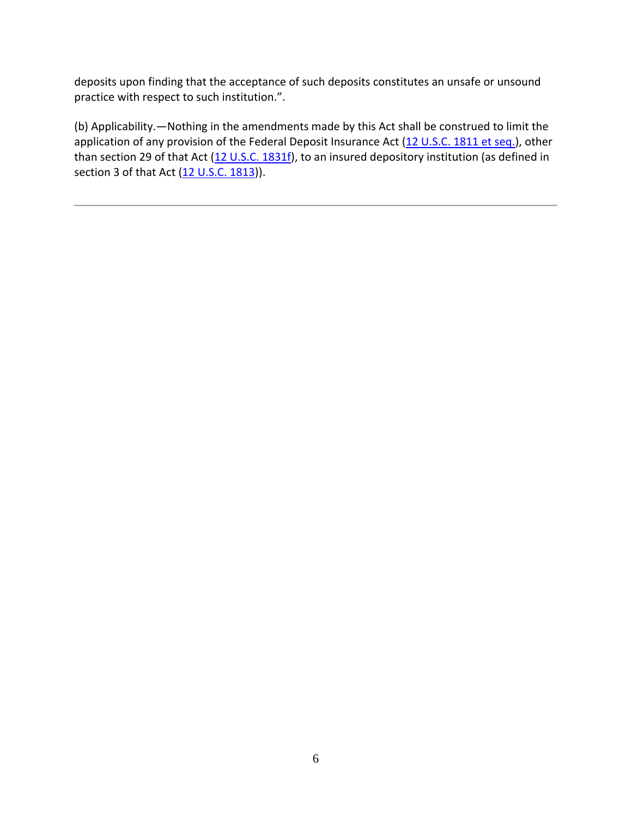deposits upon finding that the acceptance of such deposits constitutes an unsafe or unsound practice with respect to such institution.".

(b) Applicability.—Nothing in the amendments made by this Act shall be construed to limit the application of any provision of the Federal Deposit Insurance Act (12 U.S.C. 1811 et seq.), other than section 29 of that Act (12 U.S.C. 1831f), to an insured depository institution (as defined in section 3 of that Act (12 U.S.C. 1813)).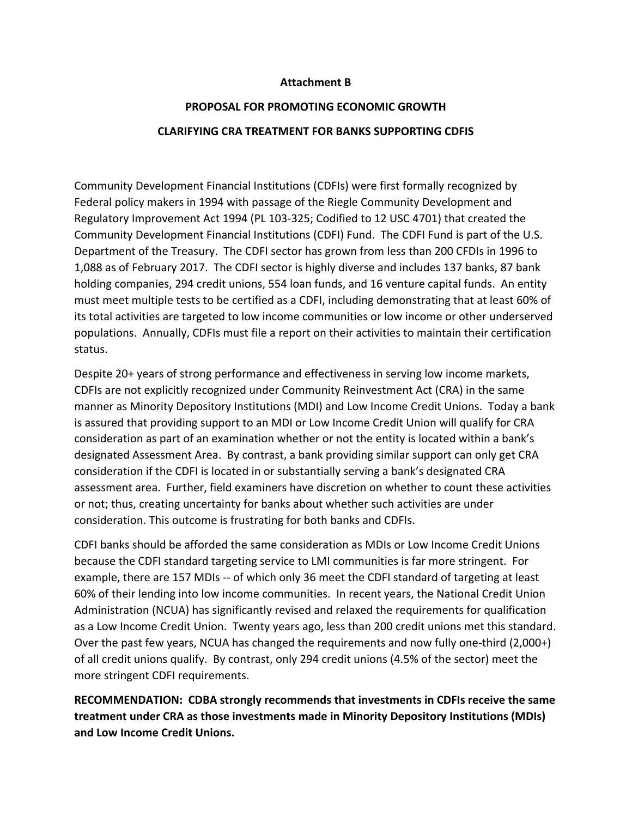#### **Attachment B**

## **PROPOSAL FOR PROMOTING ECONOMIC GROWTH CLARIFYING CRA TREATMENT FOR BANKS SUPPORTING CDFIS**

Community Development Financial Institutions (CDFIs) were first formally recognized by Federal policy makers in 1994 with passage of the Riegle Community Development and Regulatory Improvement Act 1994 (PL 103‐325; Codified to 12 USC 4701) that created the Community Development Financial Institutions (CDFI) Fund. The CDFI Fund is part of the U.S. Department of the Treasury. The CDFI sector has grown from less than 200 CFDIs in 1996 to 1,088 as of February 2017. The CDFI sector is highly diverse and includes 137 banks, 87 bank holding companies, 294 credit unions, 554 loan funds, and 16 venture capital funds. An entity must meet multiple tests to be certified as a CDFI, including demonstrating that at least 60% of its total activities are targeted to low income communities or low income or other underserved populations. Annually, CDFIs must file a report on their activities to maintain their certification status.

Despite 20+ years of strong performance and effectiveness in serving low income markets, CDFIs are not explicitly recognized under Community Reinvestment Act (CRA) in the same manner as Minority Depository Institutions (MDI) and Low Income Credit Unions. Today a bank is assured that providing support to an MDI or Low Income Credit Union will qualify for CRA consideration as part of an examination whether or not the entity is located within a bank's designated Assessment Area. By contrast, a bank providing similar support can only get CRA consideration if the CDFI is located in or substantially serving a bank's designated CRA assessment area. Further, field examiners have discretion on whether to count these activities or not; thus, creating uncertainty for banks about whether such activities are under consideration. This outcome is frustrating for both banks and CDFIs.

CDFI banks should be afforded the same consideration as MDIs or Low Income Credit Unions because the CDFI standard targeting service to LMI communities is far more stringent. For example, there are 157 MDIs ‐‐ of which only 36 meet the CDFI standard of targeting at least 60% of their lending into low income communities. In recent years, the National Credit Union Administration (NCUA) has significantly revised and relaxed the requirements for qualification as a Low Income Credit Union. Twenty years ago, less than 200 credit unions met this standard. Over the past few years, NCUA has changed the requirements and now fully one‐third (2,000+) of all credit unions qualify. By contrast, only 294 credit unions (4.5% of the sector) meet the more stringent CDFI requirements.

**RECOMMENDATION: CDBA strongly recommends that investments in CDFIs receive the same treatment under CRA as those investments made in Minority Depository Institutions (MDIs) and Low Income Credit Unions.**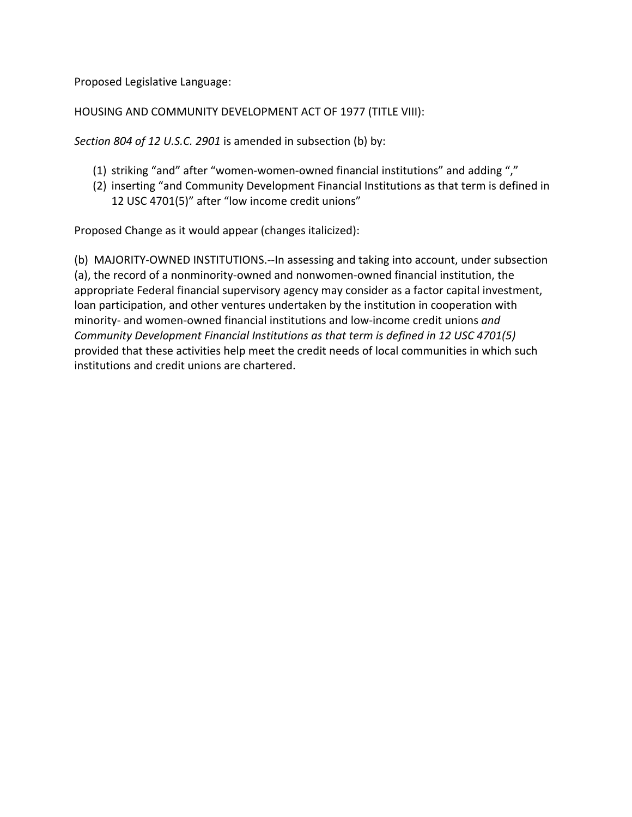Proposed Legislative Language:

HOUSING AND COMMUNITY DEVELOPMENT ACT OF 1977 (TITLE VIII):

*Section 804 of 12 U.S.C. 2901* is amended in subsection (b) by:

- (1) striking "and" after "women‐women‐owned financial institutions" and adding ","
- (2) inserting "and Community Development Financial Institutions as that term is defined in 12 USC 4701(5)" after "low income credit unions"

Proposed Change as it would appear (changes italicized):

(b) MAJORITY‐OWNED INSTITUTIONS.‐‐In assessing and taking into account, under subsection (a), the record of a nonminority‐owned and nonwomen‐owned financial institution, the appropriate Federal financial supervisory agency may consider as a factor capital investment, loan participation, and other ventures undertaken by the institution in cooperation with minority‐ and women‐owned financial institutions and low‐income credit unions *and Community Development Financial Institutions as that term is defined in 12 USC 4701(5)* provided that these activities help meet the credit needs of local communities in which such institutions and credit unions are chartered.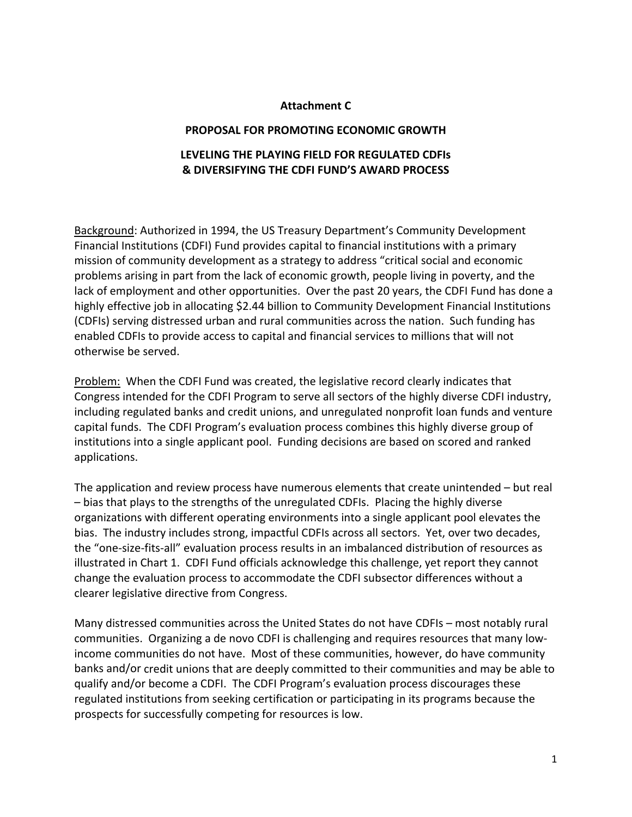#### **Attachment C**

#### **PROPOSAL FOR PROMOTING ECONOMIC GROWTH**

### **LEVELING THE PLAYING FIELD FOR REGULATED CDFIs & DIVERSIFYING THE CDFI FUND'S AWARD PROCESS**

Background: Authorized in 1994, the US Treasury Department's Community Development Financial Institutions (CDFI) Fund provides capital to financial institutions with a primary mission of community development as a strategy to address "critical social and economic problems arising in part from the lack of economic growth, people living in poverty, and the lack of employment and other opportunities. Over the past 20 years, the CDFI Fund has done a highly effective job in allocating \$2.44 billion to Community Development Financial Institutions (CDFIs) serving distressed urban and rural communities across the nation. Such funding has enabled CDFIs to provide access to capital and financial services to millions that will not otherwise be served.

Problem: When the CDFI Fund was created, the legislative record clearly indicates that Congress intended for the CDFI Program to serve all sectors of the highly diverse CDFI industry, including regulated banks and credit unions, and unregulated nonprofit loan funds and venture capital funds. The CDFI Program's evaluation process combines this highly diverse group of institutions into a single applicant pool. Funding decisions are based on scored and ranked applications.

The application and review process have numerous elements that create unintended – but real – bias that plays to the strengths of the unregulated CDFIs. Placing the highly diverse organizations with different operating environments into a single applicant pool elevates the bias. The industry includes strong, impactful CDFIs across all sectors. Yet, over two decades, the "one‐size‐fits‐all" evaluation process results in an imbalanced distribution of resources as illustrated in Chart 1. CDFI Fund officials acknowledge this challenge, yet report they cannot change the evaluation process to accommodate the CDFI subsector differences without a clearer legislative directive from Congress.

Many distressed communities across the United States do not have CDFIs – most notably rural communities. Organizing a de novo CDFI is challenging and requires resources that many low‐ income communities do not have. Most of these communities, however, do have community banks and/or credit unions that are deeply committed to their communities and may be able to qualify and/or become a CDFI. The CDFI Program's evaluation process discourages these regulated institutions from seeking certification or participating in its programs because the prospects for successfully competing for resources is low.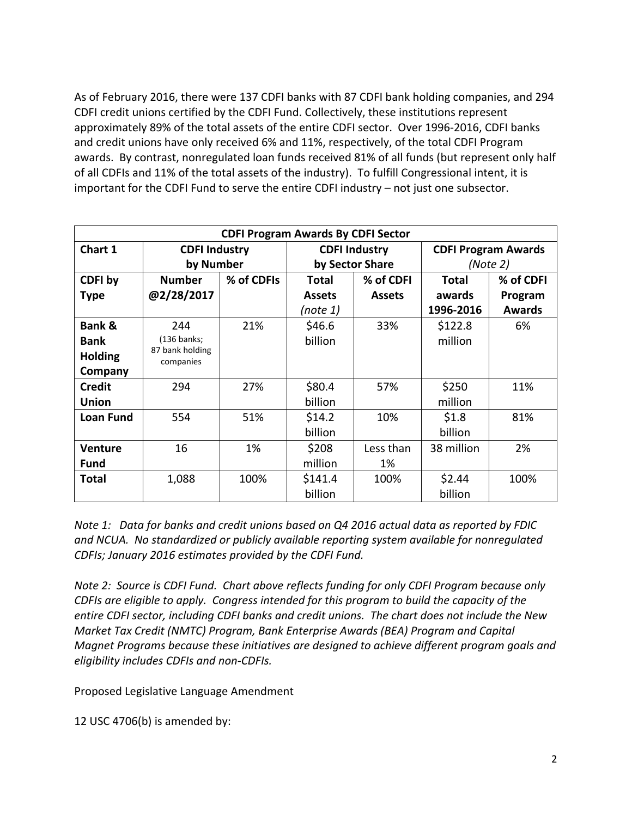As of February 2016, there were 137 CDFI banks with 87 CDFI bank holding companies, and 294 CDFI credit unions certified by the CDFI Fund. Collectively, these institutions represent approximately 89% of the total assets of the entire CDFI sector. Over 1996‐2016, CDFI banks and credit unions have only received 6% and 11%, respectively, of the total CDFI Program awards. By contrast, nonregulated loan funds received 81% of all funds (but represent only half of all CDFIs and 11% of the total assets of the industry). To fulfill Congressional intent, it is important for the CDFI Fund to serve the entire CDFI industry – not just one subsector.

| <b>CDFI Program Awards By CDFI Sector</b> |                              |            |                      |               |                            |               |
|-------------------------------------------|------------------------------|------------|----------------------|---------------|----------------------------|---------------|
| Chart 1                                   | <b>CDFI Industry</b>         |            | <b>CDFI Industry</b> |               | <b>CDFI Program Awards</b> |               |
|                                           | by Number                    |            | by Sector Share      |               | (Note 2)                   |               |
| CDFI by                                   | <b>Number</b>                | % of CDFIs | Total                | % of CDFI     | <b>Total</b>               | % of CDFI     |
| <b>Type</b>                               | @2/28/2017                   |            | <b>Assets</b>        | <b>Assets</b> | awards                     | Program       |
|                                           |                              |            | (note 1)             |               | 1996-2016                  | <b>Awards</b> |
| <b>Bank &amp;</b>                         | 244                          | 21%        | \$46.6               | 33%           | \$122.8                    | 6%            |
| <b>Bank</b>                               | $(136$ banks;                |            | billion              |               | million                    |               |
| <b>Holding</b>                            | 87 bank holding<br>companies |            |                      |               |                            |               |
| Company                                   |                              |            |                      |               |                            |               |
| <b>Credit</b>                             | 294                          | 27%        | \$80.4               | 57%           | \$250                      | 11%           |
| <b>Union</b>                              |                              |            | billion              |               | million                    |               |
| <b>Loan Fund</b>                          | 554                          | 51%        | \$14.2               | 10%           | \$1.8                      | 81%           |
|                                           |                              |            | billion              |               | billion                    |               |
| <b>Venture</b>                            | 16                           | 1%         | \$208                | Less than     | 38 million                 | 2%            |
| <b>Fund</b>                               |                              |            | million              | 1%            |                            |               |
| <b>Total</b>                              | 1,088                        | 100%       | \$141.4              | 100%          | \$2.44                     | 100%          |
|                                           |                              |            | billion              |               | billion                    |               |

*Note 1: Data for banks and credit unions based on Q4 2016 actual data as reported by FDIC and NCUA. No standardized or publicly available reporting system available for nonregulated CDFIs; January 2016 estimates provided by the CDFI Fund.* 

*Note 2: Source is CDFI Fund. Chart above reflects funding for only CDFI Program because only CDFIs are eligible to apply. Congress intended for this program to build the capacity of the entire CDFI sector, including CDFI banks and credit unions. The chart does not include the New Market Tax Credit (NMTC) Program, Bank Enterprise Awards (BEA) Program and Capital Magnet Programs because these initiatives are designed to achieve different program goals and eligibility includes CDFIs and non‐CDFIs.* 

Proposed Legislative Language Amendment

12 USC 4706(b) is amended by: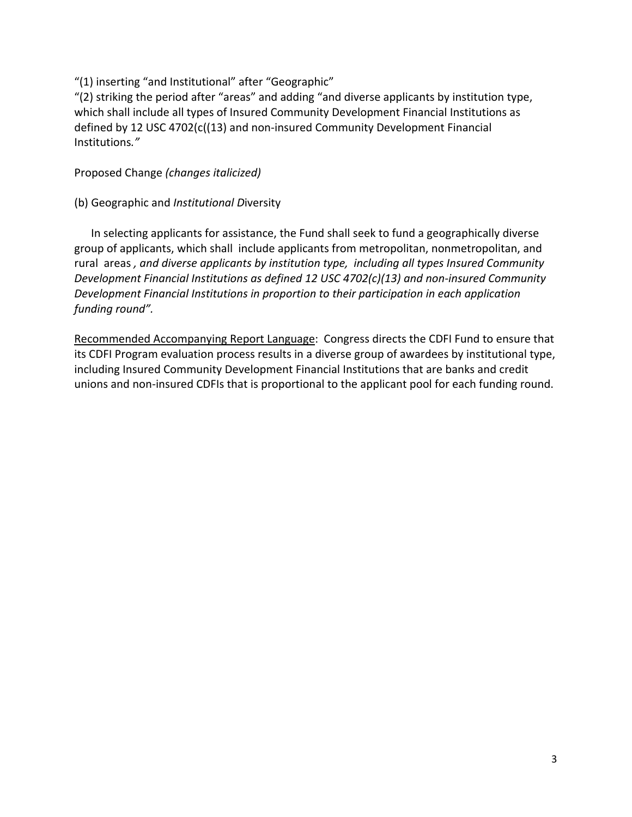"(1) inserting "and Institutional" after "Geographic"

"(2) striking the period after "areas" and adding "and diverse applicants by institution type, which shall include all types of Insured Community Development Financial Institutions as defined by 12 USC 4702(c((13) and non‐insured Community Development Financial Institutions*."*

Proposed Change *(changes italicized)*

(b) Geographic and *Institutional D*iversity

 In selecting applicants for assistance, the Fund shall seek to fund a geographically diverse group of applicants, which shall include applicants from metropolitan, nonmetropolitan, and rural areas *, and diverse applicants by institution type, including all types Insured Community Development Financial Institutions as defined 12 USC 4702(c)(13) and non‐insured Community Development Financial Institutions in proportion to their participation in each application funding round".*

Recommended Accompanying Report Language: Congress directs the CDFI Fund to ensure that its CDFI Program evaluation process results in a diverse group of awardees by institutional type, including Insured Community Development Financial Institutions that are banks and credit unions and non‐insured CDFIs that is proportional to the applicant pool for each funding round.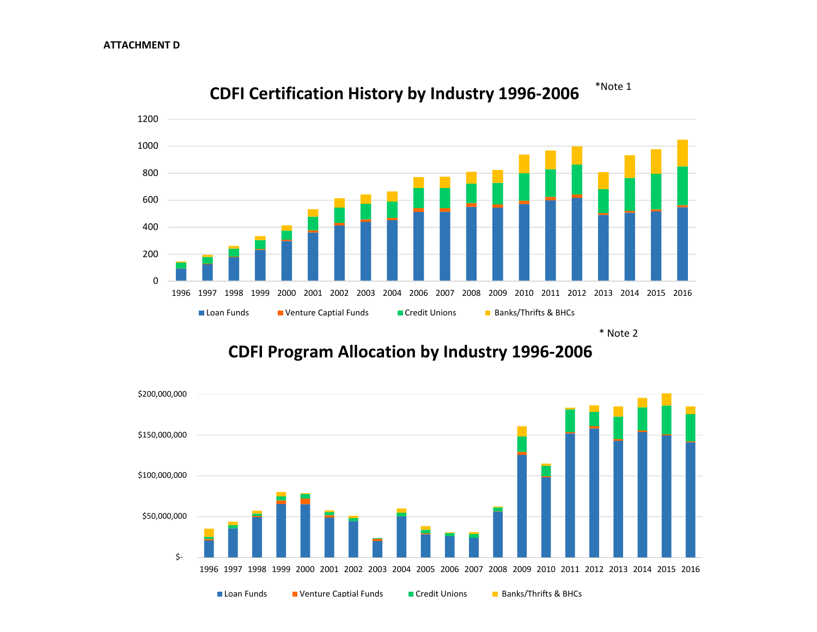

**CDFI Certification History by Industry 1996‐2006** \*Note 1

\* Note 2

**CDFI Program Allocation by Industry 1996‐2006**